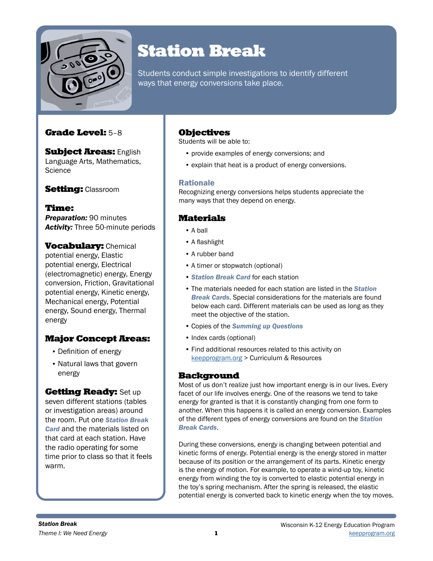

# Station Break

Students conduct simple investigations to identify different ways that energy conversions take place.

## Grade Level: 5–8

**Subject Areas: English** Language Arts, Mathematics, **Science** 

**Setting: Classroom** 

Time: *Preparation:* 90 minutes *Activity:* Three 50-minute periods

**Vocabulary: Chemical** potential energy, Elastic potential energy, Electrical (electromagnetic) energy, Energy conversion, Friction, Gravitational potential energy, Kinetic energy, Mechanical energy, Potential energy, Sound energy, Thermal energy

## Major Concept Areas:

- Definition of energy
- Natural laws that govern energy

### **Getting Ready: Set up**

seven different stations (tables or investigation areas) around the room. Put one *Station Break Card* and the materials listed on that card at each station. Have the radio operating for some time prior to class so that it feels warm.

## **Objectives**

Students will be able to:

- provide examples of energy conversions; and
- explain that heat is a product of energy conversions.

### Rationale

Recognizing energy conversions helps students appreciate the many ways that they depend on energy.

## **Materials**

- A ball
- A flashlight
- A rubber band
- A timer or stopwatch (optional)
- *Station Break Card* for each station
- The materials needed for each station are listed in the *Station Break Cards*. Special considerations for the materials are found below each card. Different materials can be used as long as they meet the objective of the station.
- Copies of the *Summing up Questions*
- Index cards (optional)
- Find additional resources related to this activity on [keepprogram.org](http://keepprogram.org) > Curriculum & Resources

### **Background**

Most of us don't realize just how important energy is in our lives. Every facet of our life involves energy. One of the reasons we tend to take energy for granted is that it is constantly changing from one form to another. When this happens it is called an energy conversion. Examples of the different types of energy conversions are found on the *Station Break Cards*.

During these conversions, energy is changing between potential and kinetic forms of energy. Potential energy is the energy stored in matter because of its position or the arrangement of its parts. Kinetic energy is the energy of motion. For example, to operate a wind-up toy, kinetic energy from winding the toy is converted to elastic potential energy in the toy's spring mechanism. After the spring is released, the elastic potential energy is converted back to kinetic energy when the toy moves.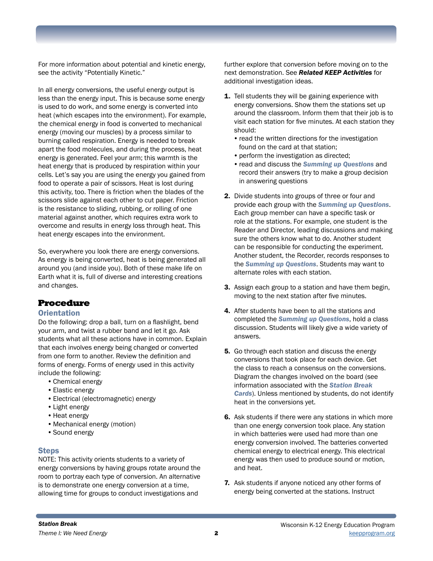For more information about potential and kinetic energy, see the activity "Potentially Kinetic."

In all energy conversions, the useful energy output is less than the energy input. This is because some energy is used to do work, and some energy is converted into heat (which escapes into the environment). For example, the chemical energy in food is converted to mechanical energy (moving our muscles) by a process similar to burning called respiration. Energy is needed to break apart the food molecules, and during the process, heat energy is generated. Feel your arm; this warmth is the heat energy that is produced by respiration within your cells. Let's say you are using the energy you gained from food to operate a pair of scissors. Heat is lost during this activity, too. There is friction when the blades of the scissors slide against each other to cut paper. Friction is the resistance to sliding, rubbing, or rolling of one material against another, which requires extra work to overcome and results in energy loss through heat. This heat energy escapes into the environment.

So, everywhere you look there are energy conversions. As energy is being converted, heat is being generated all around you (and inside you). Both of these make life on Earth what it is, full of diverse and interesting creations and changes.

#### Procedure

#### **Orientation**

Do the following: drop a ball, turn on a flashlight, bend your arm, and twist a rubber band and let it go. Ask students what all these actions have in common. Explain that each involves energy being changed or converted from one form to another. Review the definition and forms of energy. Forms of energy used in this activity include the following:

- •Chemical energy
- •Elastic energy
- •Electrical (electromagnetic) energy
- •Light energy
- Heat energy
- •Mechanical energy (motion)
- •Sound energy

#### **Steps**

NOTE: This activity orients students to a variety of energy conversions by having groups rotate around the room to portray each type of conversion. An alternative is to demonstrate one energy conversion at a time, allowing time for groups to conduct investigations and

further explore that conversion before moving on to the next demonstration. See *Related KEEP Activities* for additional investigation ideas.

- 1. Tell students they will be gaining experience with energy conversions. Show them the stations set up around the classroom. Inform them that their job is to visit each station for five minutes. At each station they should:
	- read the written directions for the investigation found on the card at that station;
	- perform the investigation as directed;
	- •read and discuss the *Summing up Questions* and record their answers (try to make a group decision in answering questions
- 2. Divide students into groups of three or four and provide each group with the *Summing up Questions*. Each group member can have a specific task or role at the stations. For example, one student is the Reader and Director, leading discussions and making sure the others know what to do. Another student can be responsible for conducting the experiment. Another student, the Recorder, records responses to the *Summing up Questions*. Students may want to alternate roles with each station.
- 3. Assign each group to a station and have them begin, moving to the next station after five minutes.
- 4. After students have been to all the stations and completed the *Summing up Questions*, hold a class discussion. Students will likely give a wide variety of answers.
- 5. Go through each station and discuss the energy conversions that took place for each device. Get the class to reach a consensus on the conversions. Diagram the changes involved on the board (see information associated with the *Station Break Cards*). Unless mentioned by students, do not identify heat in the conversions yet.
- 6. Ask students if there were any stations in which more than one energy conversion took place. Any station in which batteries were used had more than one energy conversion involved. The batteries converted chemical energy to electrical energy. This electrical energy was then used to produce sound or motion, and heat.
- 7. Ask students if anyone noticed any other forms of energy being converted at the stations. Instruct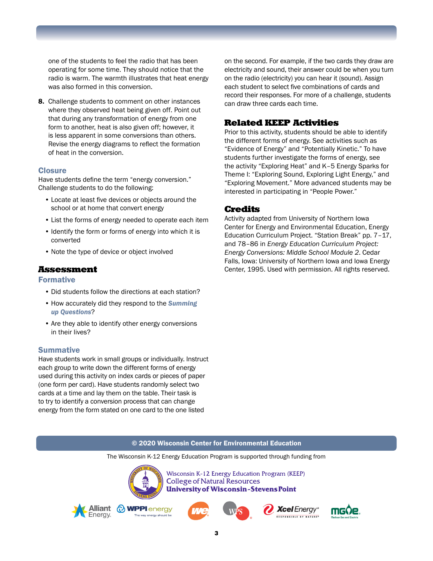one of the students to feel the radio that has been operating for some time. They should notice that the radio is warm. The warmth illustrates that heat energy was also formed in this conversion.

8. Challenge students to comment on other instances where they observed heat being given off. Point out that during any transformation of energy from one form to another, heat is also given off; however, it is less apparent in some conversions than others. Revise the energy diagrams to reflect the formation of heat in the conversion.

#### Closure

Have students define the term "energy conversion." Challenge students to do the following:

- Locate at least five devices or objects around the school or at home that convert energy
- List the forms of energy needed to operate each item
- Identify the form or forms of energy into which it is converted
- Note the type of device or object involved

#### Assessment

#### Formative

- Did students follow the directions at each station?
- How accurately did they respond to the *Summing up Questions*?
- Are they able to identify other energy conversions in their lives?

#### **Summative**

Have students work in small groups or individually. Instruct each group to write down the different forms of energy used during this activity on index cards or pieces of paper (one form per card). Have students randomly select two cards at a time and lay them on the table. Their task is to try to identify a conversion process that can change energy from the form stated on one card to the one listed

on the second. For example, if the two cards they draw are electricity and sound, their answer could be when you turn on the radio (electricity) you can hear it (sound). Assign each student to select five combinations of cards and record their responses. For more of a challenge, students can draw three cards each time.

## Related KEEP Activities

Prior to this activity, students should be able to identify the different forms of energy. See activities such as "Evidence of Energy" and "Potentially Kinetic." To have students further investigate the forms of energy, see the activity "Exploring Heat" and K–5 Energy Sparks for Theme I: "Exploring Sound, Exploring Light Energy," and "Exploring Movement." More advanced students may be interested in participating in "People Power."

#### Credits

Activity adapted from University of Northern Iowa Center for Energy and Environmental Education, Energy Education Curriculum Project. "Station Break" pp. 7–17, and 78–86 in *Energy Education Curriculum Project: Energy Conversions: Middle School Module 2*. Cedar Falls, Iowa: University of Northern Iowa and Iowa Energy Center, 1995. Used with permission. All rights reserved.

#### © 2020 Wisconsin Center for Environmental Education

The Wisconsin K-12 Energy Education Program is supported through funding from



Energy

Wisconsin K-12 Energy Education Program (KEEP) **College of Natural Resources University of Wisconsin-Stevens Point** 







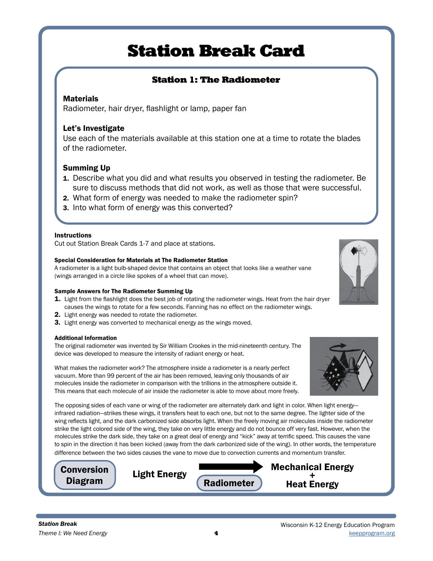## Station 1: The Radiometer

### **Materials**

Radiometer, hair dryer, flashlight or lamp, paper fan

### Let's Investigate

Use each of the materials available at this station one at a time to rotate the blades of the radiometer.

### Summing Up

- 1. Describe what you did and what results you observed in testing the radiometer. Be sure to discuss methods that did not work, as well as those that were successful.
- 2. What form of energy was needed to make the radiometer spin?
- 3. Into what form of energy was this converted?

#### **Instructions**

Cut out Station Break Cards 1-7 and place at stations.

#### Special Consideration for Materials at The Radiometer Station

A radiometer is a light bulb-shaped device that contains an object that looks like a weather vane (wings arranged in a circle like spokes of a wheel that can move).

#### Sample Answers for The Radiometer Summing Up

- **1.** Light from the flashlight does the best job of rotating the radiometer wings. Heat from the hair dryer causes the wings to rotate for a few seconds. Fanning has no effect on the radiometer wings.
- 2. Light energy was needed to rotate the radiometer.
- 3. Light energy was converted to mechanical energy as the wings moved.

#### Additional Information

The original radiometer was invented by Sir William Crookes in the mid-nineteenth century. The device was developed to measure the intensity of radiant energy or heat.

What makes the radiometer work? The atmosphere inside a radiometer is a nearly perfect vacuum. More than 99 percent of the air has been removed, leaving only thousands of air molecules inside the radiometer in comparison with the trillions in the atmosphere outside it. This means that each molecule of air inside the radiometer is able to move about more freely.

The opposing sides of each vane or wing of the radiometer are alternately dark and light in color. When light energy infrared radiation—strikes these wings, it transfers heat to each one, but not to the same degree. The lighter side of the wing reflects light, and the dark carbonized side absorbs light. When the freely moving air molecules inside the radiometer strike the light colored side of the wing, they take on very little energy and do not bounce off very fast. However, when the molecules strike the dark side, they take on a great deal of energy and "kick" away at terrific speed. This causes the vane to spin in the direction it has been kicked (away from the dark carbonized side of the wing). In other words, the temperature difference between the two sides causes the vane to move due to convection currents and momentum transfer.





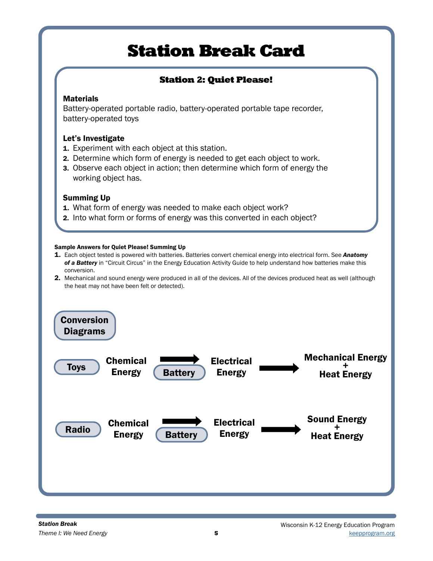# Station 2: Quiet Please!

## **Materials**

Battery-operated portable radio, battery-operated portable tape recorder, battery-operated toys

## Let's Investigate

- 1. Experiment with each object at this station.
- 2. Determine which form of energy is needed to get each object to work.
- 3. Observe each object in action; then determine which form of energy the working object has.

## Summing Up

- 1. What form of energy was needed to make each object work?
- 2. Into what form or forms of energy was this converted in each object?

#### Sample Answers for Quiet Please! Summing Up

- 1. Each object tested is powered with batteries. Batteries convert chemical energy into electrical form. See *Anatomy of a Battery* in "Circuit Circus" in the Energy Education Activity Guide to help understand how batteries make this conversion.
- 2. Mechanical and sound energy were produced in all of the devices. All of the devices produced heat as well (although the heat may not have been felt or detected).

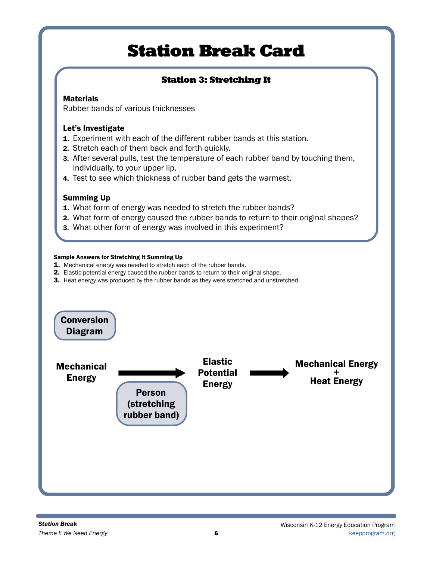# Station 3: Stretching It

## **Materials**

Rubber bands of various thicknesses

## Let's Investigate

- 1. Experiment with each of the different rubber bands at this station.
- 2. Stretch each of them back and forth quickly.
- 3. After several pulls, test the temperature of each rubber band by touching them, individually, to your upper lip.
- 4. Test to see which thickness of rubber band gets the warmest.

## Summing Up

- 1. What form of energy was needed to stretch the rubber bands?
- 2. What form of energy caused the rubber bands to return to their original shapes?
- 3. What other form of energy was involved in this experiment?

#### Sample Answers for Stretching It Summing Up

- 1. Mechanical energy was needed to stretch each of the rubber bands.
- 2. Elastic potential energy caused the rubber bands to return to their original shape.
- 3. Heat energy was produced by the rubber bands as they were stretched and unstretched.

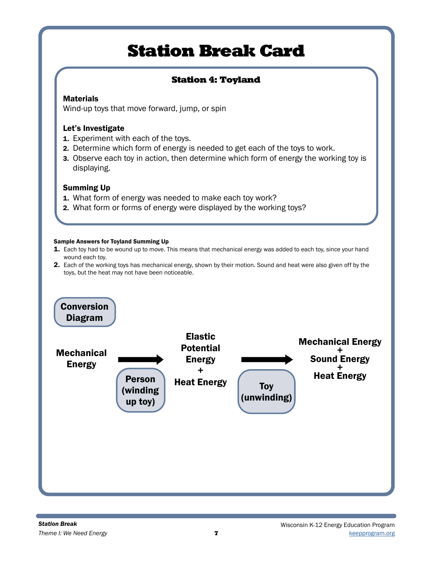## Station 4: Toyland

## Materials

Wind-up toys that move forward, jump, or spin

## Let's Investigate

- **1.** Experiment with each of the toys.
- 2. Determine which form of energy is needed to get each of the toys to work.
- 3. Observe each toy in action, then determine which form of energy the working toy is displaying.

## Summing Up

- 1. What form of energy was needed to make each toy work?
- 2. What form or forms of energy were displayed by the working toys?

#### Sample Answers for Toyland Summing Up

- 1. Each toy had to be wound up to move. This means that mechanical energy was added to each toy, since your hand wound each toy.
- 2. Each of the working toys has mechanical energy, shown by their motion. Sound and heat were also given off by the toys, but the heat may not have been noticeable.

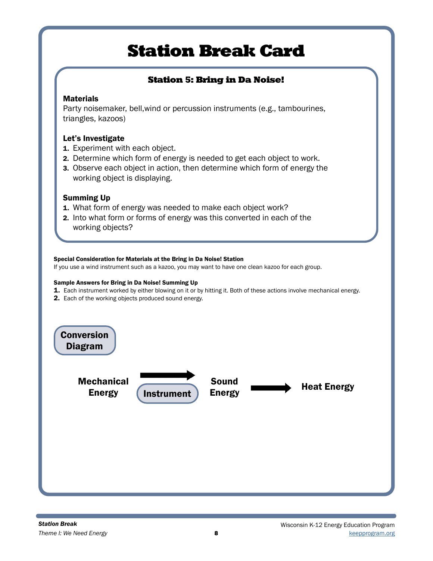# Station 5: Bring in Da Noise!

## **Materials**

Party noisemaker, bell,wind or percussion instruments (e.g., tambourines, triangles, kazoos)

## Let's Investigate

- 1. Experiment with each object.
- 2. Determine which form of energy is needed to get each object to work.
- 3. Observe each object in action, then determine which form of energy the working object is displaying.

## Summing Up

- 1. What form of energy was needed to make each object work?
- 2. Into what form or forms of energy was this converted in each of the working objects?

#### Special Consideration for Materials at the Bring in Da Noise! Station

If you use a wind instrument such as a kazoo, you may want to have one clean kazoo for each group.

#### Sample Answers for Bring in Da Noise! Summing Up

- 1. Each instrument worked by either blowing on it or by hitting it. Both of these actions involve mechanical energy.
- 2. Each of the working objects produced sound energy.

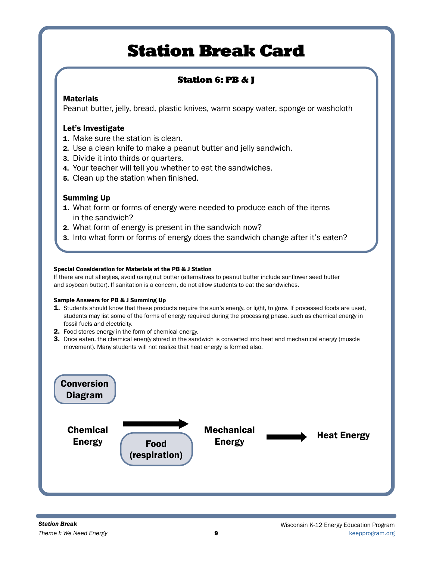# Station 6: PB & J

## **Materials**

Peanut butter, jelly, bread, plastic knives, warm soapy water, sponge or washcloth

## Let's Investigate

- 1. Make sure the station is clean.
- 2. Use a clean knife to make a peanut butter and jelly sandwich.
- 3. Divide it into thirds or quarters.
- 4. Your teacher will tell you whether to eat the sandwiches.
- 5. Clean up the station when finished.

## Summing Up

- 1. What form or forms of energy were needed to produce each of the items in the sandwich?
- 2. What form of energy is present in the sandwich now?
- 3. Into what form or forms of energy does the sandwich change after it's eaten?

#### Special Consideration for Materials at the PB & J Station

If there are nut allergies, avoid using nut butter (alternatives to peanut butter include sunflower seed butter and soybean butter). If sanitation is a concern, do not allow students to eat the sandwiches.

#### Sample Answers for PB & J Summing Up

- 1. Students should know that these products require the sun's energy, or light, to grow. If processed foods are used, students may list some of the forms of energy required during the processing phase, such as chemical energy in fossil fuels and electricity.
- 2. Food stores energy in the form of chemical energy.
- 3. Once eaten, the chemical energy stored in the sandwich is converted into heat and mechanical energy (muscle movement). Many students will not realize that heat energy is formed also.

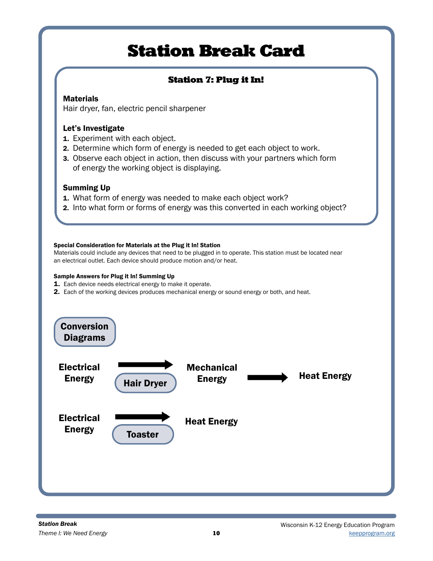## Station 7: Plug it In!

## **Materials**

Hair dryer, fan, electric pencil sharpener

## Let's Investigate

- **1.** Experiment with each object.
- 2. Determine which form of energy is needed to get each object to work.
- 3. Observe each object in action, then discuss with your partners which form of energy the working object is displaying.

## Summing Up

- 1. What form of energy was needed to make each object work?
- 2. Into what form or forms of energy was this converted in each working object?

#### Special Consideration for Materials at the Plug it In! Station

Materials could include any devices that need to be plugged in to operate. This station must be located near an electrical outlet. Each device should produce motion and/or heat.

#### Sample Answers for Plug it In! Summing Up

- 1. Each device needs electrical energy to make it operate.
- 2. Each of the working devices produces mechanical energy or sound energy or both, and heat.

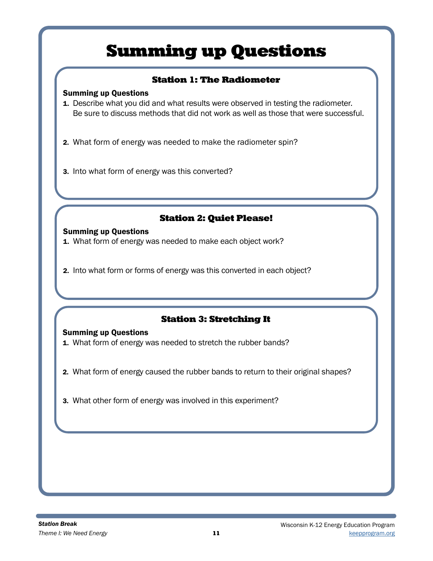# Summing up Questions

## Station 1: The Radiometer

### Summing up Questions

1. Describe what you did and what results were observed in testing the radiometer. Be sure to discuss methods that did not work as well as those that were successful.

2. What form of energy was needed to make the radiometer spin?

3. Into what form of energy was this converted?

## Station 2: Quiet Please!

### Summing up Questions

- 1. What form of energy was needed to make each object work?
- 2. Into what form or forms of energy was this converted in each object?

## Station 3: Stretching It

### Summing up Questions

- 1. What form of energy was needed to stretch the rubber bands?
- 2. What form of energy caused the rubber bands to return to their original shapes?
- 3. What other form of energy was involved in this experiment?